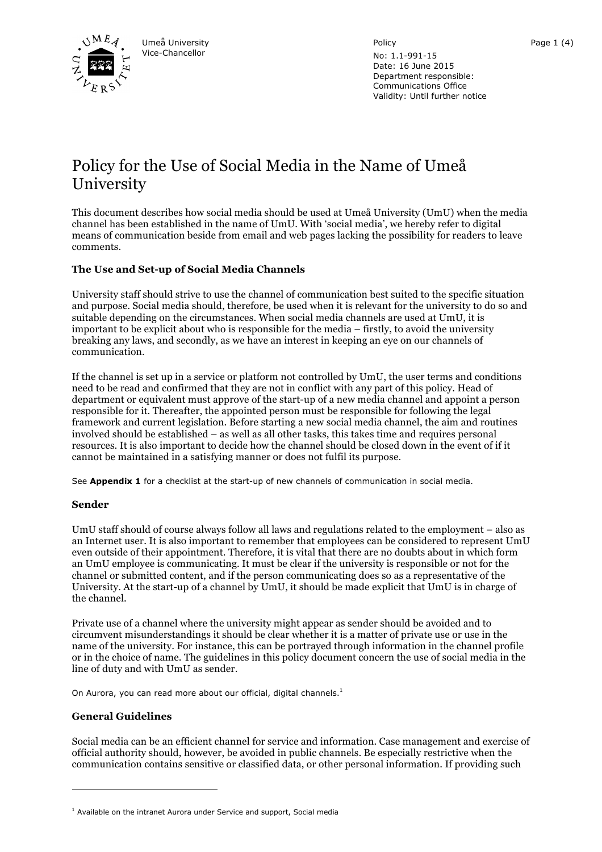

Policy

No: 1.1-991-15 Date: 16 June 2015 Department responsible: Communications Office Validity: Until further notice

# Policy for the Use of Social Media in the Name of Umeå University

This document describes how social media should be used at Umeå University (UmU) when the media channel has been established in the name of UmU. With 'social media', we hereby refer to digital means of communication beside from email and web pages lacking the possibility for readers to leave comments.

# **The Use and Set-up of Social Media Channels**

University staff should strive to use the channel of communication best suited to the specific situation and purpose. Social media should, therefore, be used when it is relevant for the university to do so and suitable depending on the circumstances. When social media channels are used at UmU, it is important to be explicit about who is responsible for the media – firstly, to avoid the university breaking any laws, and secondly, as we have an interest in keeping an eye on our channels of communication.

If the channel is set up in a service or platform not controlled by UmU, the user terms and conditions need to be read and confirmed that they are not in conflict with any part of this policy. Head of department or equivalent must approve of the start-up of a new media channel and appoint a person responsible for it. Thereafter, the appointed person must be responsible for following the legal framework and current legislation. Before starting a new social media channel, the aim and routines involved should be established – as well as all other tasks, this takes time and requires personal resources. It is also important to decide how the channel should be closed down in the event of if it cannot be maintained in a satisfying manner or does not fulfil its purpose.

See **Appendix 1** for a checklist at the start-up of new channels of communication in social media.

## **Sender**

UmU staff should of course always follow all laws and regulations related to the employment – also as an Internet user. It is also important to remember that employees can be considered to represent UmU even outside of their appointment. Therefore, it is vital that there are no doubts about in which form an UmU employee is communicating. It must be clear if the university is responsible or not for the channel or submitted content, and if the person communicating does so as a representative of the University. At the start-up of a channel by UmU, it should be made explicit that UmU is in charge of the channel.

Private use of a channel where the university might appear as sender should be avoided and to circumvent misunderstandings it should be clear whether it is a matter of private use or use in the name of the university. For instance, this can be portrayed through information in the channel profile or in the choice of name. The guidelines in this policy document concern the use of social media in the line of duty and with UmU as sender.

On Aurora, you can read more about our official, digital channels.<sup>1</sup>

## **General Guidelines**

 $\overline{a}$ 

Social media can be an efficient channel for service and information. Case management and exercise of official authority should, however, be avoided in public channels. Be especially restrictive when the communication contains sensitive or classified data, or other personal information. If providing such

 $1$  Available on the intranet Aurora under Service and support, Social media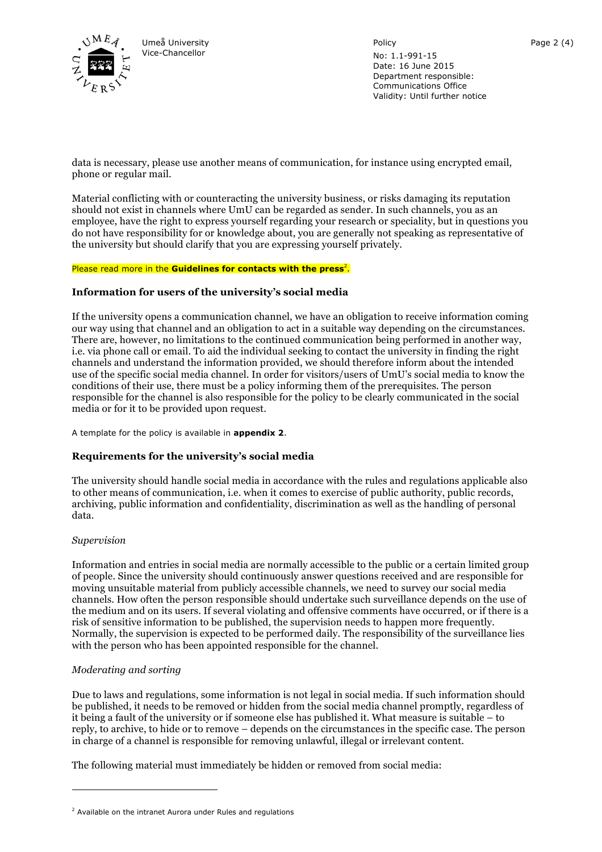

Policy

No: 1.1-991-15 Date: 16 June 2015 Department responsible: Communications Office Validity: Until further notice

data is necessary, please use another means of communication, for instance using encrypted email, phone or regular mail.

Material conflicting with or counteracting the university business, or risks damaging its reputation should not exist in channels where UmU can be regarded as sender. In such channels, you as an employee, have the right to express yourself regarding your research or speciality, but in questions you do not have responsibility for or knowledge about, you are generally not speaking as representative of the university but should clarify that you are expressing yourself privately.

#### Please read more in the **Guidelines for contacts with the press**<sup>2</sup>.

#### **Information for users of the university's social media**

If the university opens a communication channel, we have an obligation to receive information coming our way using that channel and an obligation to act in a suitable way depending on the circumstances. There are, however, no limitations to the continued communication being performed in another way, i.e. via phone call or email. To aid the individual seeking to contact the university in finding the right channels and understand the information provided, we should therefore inform about the intended use of the specific social media channel. In order for visitors/users of UmU's social media to know the conditions of their use, there must be a policy informing them of the prerequisites. The person responsible for the channel is also responsible for the policy to be clearly communicated in the social media or for it to be provided upon request.

A template for the policy is available in **appendix 2**.

## **Requirements for the university's social media**

The university should handle social media in accordance with the rules and regulations applicable also to other means of communication, i.e. when it comes to exercise of public authority, public records, archiving, public information and confidentiality, discrimination as well as the handling of personal data.

#### *Supervision*

 $\overline{a}$ 

Information and entries in social media are normally accessible to the public or a certain limited group of people. Since the university should continuously answer questions received and are responsible for moving unsuitable material from publicly accessible channels, we need to survey our social media channels. How often the person responsible should undertake such surveillance depends on the use of the medium and on its users. If several violating and offensive comments have occurred, or if there is a risk of sensitive information to be published, the supervision needs to happen more frequently. Normally, the supervision is expected to be performed daily. The responsibility of the surveillance lies with the person who has been appointed responsible for the channel.

## *Moderating and sorting*

Due to laws and regulations, some information is not legal in social media. If such information should be published, it needs to be removed or hidden from the social media channel promptly, regardless of it being a fault of the university or if someone else has published it. What measure is suitable – to reply, to archive, to hide or to remove – depends on the circumstances in the specific case. The person in charge of a channel is responsible for removing unlawful, illegal or irrelevant content.

The following material must immediately be hidden or removed from social media:

 $2$  Available on the intranet Aurora under Rules and regulations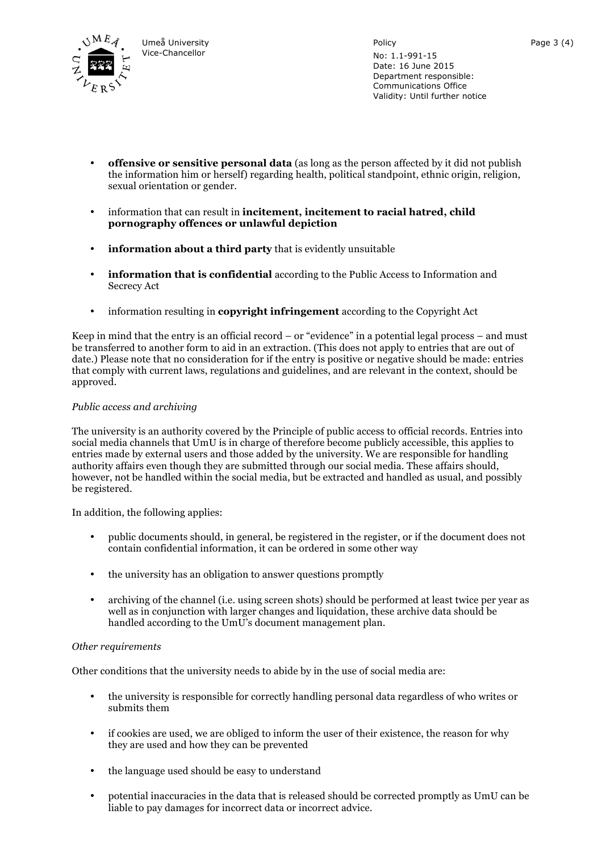

Policy No: 1.1-991-15 Date: 16 June 2015 Department responsible: Communications Office Validity: Until further notice

- **offensive or sensitive personal data** (as long as the person affected by it did not publish the information him or herself) regarding health, political standpoint, ethnic origin, religion, sexual orientation or gender.
- information that can result in **incitement, incitement to racial hatred, child pornography offences or unlawful depiction**
- **information about a third party** that is evidently unsuitable
- **information that is confidential** according to the Public Access to Information and Secrecy Act
- information resulting in **copyright infringement** according to the Copyright Act

Keep in mind that the entry is an official record – or "evidence" in a potential legal process – and must be transferred to another form to aid in an extraction. (This does not apply to entries that are out of date.) Please note that no consideration for if the entry is positive or negative should be made: entries that comply with current laws, regulations and guidelines, and are relevant in the context, should be approved.

## *Public access and archiving*

The university is an authority covered by the Principle of public access to official records. Entries into social media channels that UmU is in charge of therefore become publicly accessible, this applies to entries made by external users and those added by the university. We are responsible for handling authority affairs even though they are submitted through our social media. These affairs should, however, not be handled within the social media, but be extracted and handled as usual, and possibly be registered.

In addition, the following applies:

- public documents should, in general, be registered in the register, or if the document does not contain confidential information, it can be ordered in some other way
- the university has an obligation to answer questions promptly
- archiving of the channel (i.e. using screen shots) should be performed at least twice per year as well as in conjunction with larger changes and liquidation, these archive data should be handled according to the UmU's document management plan.

## *Other requirements*

Other conditions that the university needs to abide by in the use of social media are:

- the university is responsible for correctly handling personal data regardless of who writes or submits them
- if cookies are used, we are obliged to inform the user of their existence, the reason for why they are used and how they can be prevented
- the language used should be easy to understand
- potential inaccuracies in the data that is released should be corrected promptly as UmU can be liable to pay damages for incorrect data or incorrect advice.